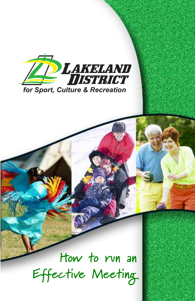

# **How to run an Effective Meeting**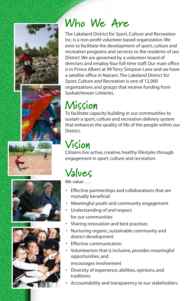









### **Who We Are**

The Lakeland District for Sport,Culture and Recreation Inc. is a non-profit volunteer based organization.We exist to facilitate the development of sport, culture and recreation programs and services to the residents of our District.We are governed by a volunteer board of directors and employ four full-time staff.Our main office is in Prince Albert at 99 Terry Simpson Lane and we have a satellite office in Naicam.The Lakeland District for Sport, Culture and Recreation is one of 12,000 organizations and groups that receive funding from Saskatchewan Lotteries.

# **Mission**

To facilitate capacity building in our communities to sustain a sport, culture and recreation delivery system that enhances the quality of life of the people within our District.

## **Vision**

Citizens live active, creative, healthy lifestyles through engagement in sport, culture and recreation.

# **Values**

We value ….

- Effective partnerships and collaborations that are mutually beneficial
- Meaningful youth and community engagement
- Understanding of and respect for our communities
- Sharing innovation and best practises
- Nurturing organic, sustainable community and district development
- Effective communication
- Volunteerism that is inclusive, provides meaningful opportunities, and
	- encourages involvement
- Diversity of experience, abilities, opinions, and traditions
- Accountability and transparency to our stakeholders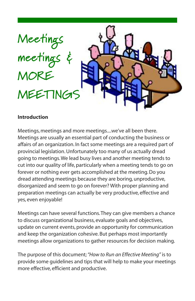

#### **Introduction**

Meetings, meetings and more meetings....we've all been there. Meetings are usually an essential part of conducting the business or affairs of an organization. In fact some meetings are a required part of provincial legislation.Unfortunately too many of us actually dread going to meetings.We lead busy lives and another meeting tends to cut into our quality of life, particularly when a meeting tends to go on forever or nothing ever gets accomplished at the meeting.Do you dread attending meetings because they are boring, unproductive, disorganized and seem to go on forever? With proper planning and preparation meetings can actually be very productive, effective and yes, even enjoyable!

Meetings can have several functions.They can give members a chance to discuss organizational business, evaluate goals and objectives, update on current events, provide an opportunity for communication and keep the organization cohesive. But perhaps most importantly meetings allow organizations to gather resources for decision making.

The purpose of this document;*"How to Run an Effective Meeting"* is to provide some guidelines and tips that will help to make your meetings more effective, efficient and productive.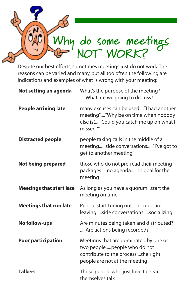

Despite our best efforts, sometimes meetings just do not work. The reasons can be varied and many, but all too often the following are indications and examples of what is wrong with your meeting:

| Not setting an agenda           | What's the purpose of the meeting?<br>What are we going to discuss?                                                                         |
|---------------------------------|---------------------------------------------------------------------------------------------------------------------------------------------|
| <b>People arriving late</b>     | many excuses can be used"I had another<br>meeting""Why be on time when nobody<br>else is""Could you catch me up on what I<br>missed?"       |
| <b>Distracted people</b>        | people taking calls in the middle of a<br>meetingside conversations"I've got to<br>get to another meeting"                                  |
| <b>Not being prepared</b>       | those who do not pre-read their meeting<br>packagesno agendano goal for the<br>meeting                                                      |
| <b>Meetings that start late</b> | As long as you have a quorumstart the<br>meeting on time                                                                                    |
| <b>Meetings that run late</b>   | People start tuning outpeople are<br>leavingside conversationssocializing                                                                   |
| No follow-ups                   | Are minutes being taken and distributed?<br>Are actions being recorded?                                                                     |
| <b>Poor participation</b>       | Meetings that are dominated by one or<br>two peoplepeople who do not<br>contribute to the processthe right<br>people are not at the meeting |
| <b>Talkers</b>                  | Those people who just love to hear<br>themselves talk                                                                                       |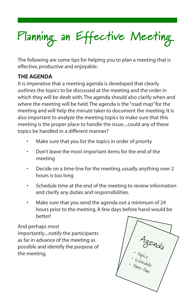# **Planning an Effective Meeting**

The following are some tips for helping you to plan a meeting that is effective, productive and enjoyable:

### **THE AGENDA**

It is imperative that a meeting agenda is developed that clearly outlines the topics to be discussed at the meeting and the order in which they will be dealt with.The agenda should also clarify when and where the meeting will be held.The agenda is the"road map"for the meeting and will help the minute taker to document the meeting. It is also important to analyze the meeting topics to make sure that this meeting is the proper place to handle the issue....could any of these topics be handled in a different manner?

- Make sure that you list the topics in order of priority
- Don't leave the most important items for the end of the meeting
- Decide on a time-line for the meeting, usually anything over 2 hours is too long
- Schedule time at the end of the meeting to review information and clarify any duties and responsibilities.
- Make sure that you send the agenda out a minimum of 24 hours prior to the meeting.A few days before hand would be better!

And perhaps most

importantly....notify the participants as far in advance of the meeting as possible and identify the purpose of the meeting.

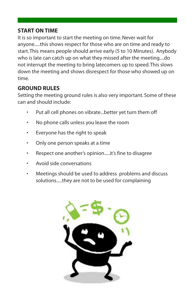### **START ON TIME**

It is so important to start the meeting on time.Never wait for anyone.....this shows respect for those who are on time and ready to start.This means people should arrive early (5 to 10 Minutes). Anybody who is late can catch up on what they missed after the meeting....do not interrupt the meeting to bring latecomers up to speed.This slows down the meeting and shows disrespect for those who showed up on time.

### **GROUND RULES**

Setting the meeting ground rules is also very important. Some of these can and should include:

- Put all cell phones on vibrate...better yet turn them off
- No phone calls unless you leave the room
- Everyone has the right to speak
- Only one person speaks at a time
- Respect one another's opinion.....it's fine to disagree
- Avoid side conversations
- Meetings should be used to address problems and discuss solutions.....they are not to be used for complaining

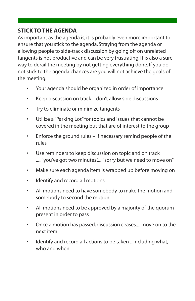### **STICK TO THE AGENDA**

As important as the agenda is, it is probably even more important to ensure that you stick to the agenda. Straying from the agenda or allowing people to side-track discussion by going off on unrelated tangents is not productive and can be very frustrating. It is also a sure way to derail the meeting by not getting everything done. If you do not stick to the agenda chances are you will not achieve the goals of the meeting.

- Your agenda should be organized in order of importance
- Keep discussion on track don't allow side discussions
- Try to eliminate or minimize tangents
- Utilize a"Parking Lot"for topics and issues that cannot be covered in the meeting but that are of interest to the group
- Enforce the ground rules if necessary remind people of the rules
- Use reminders to keep discussion on topic and on track ....."you've got two minutes"....."sorry but we need to move on"
- Make sure each agenda item is wrapped up before moving on
- Identify and record all motions
- All motions need to have somebody to make the motion and somebody to second the motion
- All motions need to be approved by a majority of the quorum present in order to pass
- Once a motion has passed, discussion ceases.....move on to the next item
- Identify and record all actions to be taken ...including what, who and when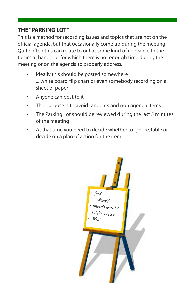#### **THE"PARKING LOT"**

This is a method for recording issues and topics that are not on the official agenda, but that occasionally come up during the meeting. Quite often this can relate to or has some kind of relevance to the topics at hand, but for which there is not enough time during the meeting or on the agenda to properly address.

- Ideally this should be posted somewhere ....white board,flip chart or even somebody recording on a sheet of paper
- Anyone can post to it
- The purpose is to avoid tangents and non agenda items
- The Parking Lot should be reviewed during the last 5 minutes of the meeting
- At that time you need to decide whether to ignore, table or decide on a plan of action for the item

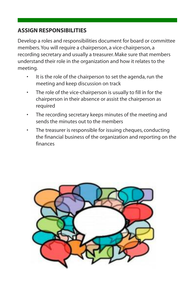### **ASSIGN RESPONSIBILITIES**

Develop a roles and responsibilities document for board or committee members.You will require a chairperson, a vice-chairperson, a recording secretary and usually a treasurer. Make sure that members understand their role in the organization and how it relates to the meeting.

- It is the role of the chairperson to set the agenda,run the meeting and keep discussion on track
- The role of the vice-chairperson is usually to fill in for the chairperson in their absence or assist the chairperson as required
- The recording secretary keeps minutes of the meeting and sends the minutes out to the members
- The treasurer is responsible for issuing cheques, conducting the financial business of the organization and reporting on the finances

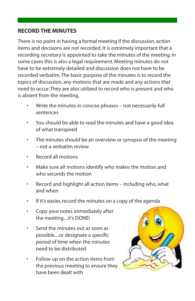#### **RECORDTHE MINUTES**

There is no point in having a formal meeting if the discussion, action items and decisions are not recorded. It is extremely important that a recording secretary is appointed to take the minutes of the meeting. In some cases this is also a legal requirement. Meeting minutes do not have to be extremely detailed and discussion does not have to be recorded verbatim.The basic purpose of the minutes is to record the topics of discussion, any motions that are made and any actions that need to occur.They are also utilized to record who is present and who is absent from the meeting.

- Write the minutes in concise phrases not necessarily full sentences
- You should be able to read the minutes and have a good idea of what transpired
- The minutes should be an overview or synopsis of the meeting – not a verbatim review
- Record all motions
- Make sure all motions identify who makes the motion and who seconds the motion
- Record and highlight all action items including who,what and when
- If it's easier, record the minutes on a copy of the agenda
- Copy your notes immediately after the meeting....it's DONE!
- Send the minutes out as soon as possible....or designate a specific period of time when the minutes need to be distributed
- Follow up on the action items from the previous meeting to ensure they have been dealt with

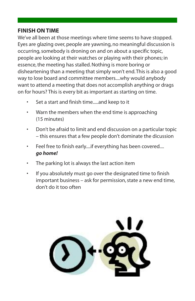#### **FINISH ONTIME**

We've all been at those meetings where time seems to have stopped. Eyes are glazing over, people are yawning, no meaningful discussion is occurring,somebody is droning on and on about a specific topic, people are looking at their watches or playing with their phones; in essence, the meeting has stalled. Nothing is more boring or disheartening than a meeting that simply won't end.This is also a good way to lose board and committee members....why would anybody want to attend a meeting that does not accomplish anything or drags on for hours? This is every bit as important as starting on time.

- Set a start and finish time.....and keep to it
- Warn the members when the end time is approaching (15 minutes)
- Don't be afraid to limit and end discussion on a particular topic – this ensures that a few people don't dominate the dicussion
- Feel free to finish early....if everything has been covered.... *go home!*
- The parking lot is always the last action item
- If you absolutely must go over the designated time to finish important business – ask for permission, state a new end time, don't do it too often

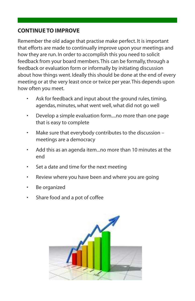#### **CONTINUE TO IMPROVE**

Remember the old adage that practise make perfect. It is important that efforts are made to continually improve upon your meetings and how they are run. In order to accomplish this you need to solicit feedback from your board members. This can be formally, through a feedback or evaluation form or informally by initiating discussion about how things went. Ideally this should be done at the end of every meeting or at the very least once or twice per year.This depends upon how often you meet.

- Ask for feedback and input about the ground rules, timing, agendas, minutes,what went well,what did not go well
- Develop a simple evaluation form....no more than one page that is easy to complete
- Make sure that everybody contributes to the discussion meetings are a democracy
- Add this as an agenda item...no more than 10 minutes at the end
- Set a date and time for the next meeting
- Review where you have been and where you are going
- Be organized
- Share food and a pot of coffee

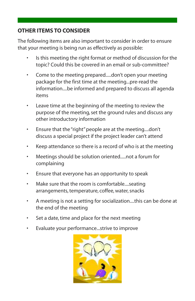### **OTHER ITEMS TO CONSIDER**

The following items are also important to consider in order to ensure that your meeting is being run as effectively as possible:

- Is this meeting the right format or method of discussion for the topic? Could this be covered in an email or sub-committee?
- Come to the meeting prepared.....don't open your meeting package for the first time at the meeting...pre-read the information....be informed and prepared to discuss all agenda items
- Leave time at the beginning of the meeting to review the purpose of the meeting, set the ground rules and discuss any other introductory information
- Ensure that the"right"people are at the meeting....don't discuss a special project if the project leader can't attend
- Keep attendance so there is a record of who is at the meeting
- Meetings should be solution oriented.....not a forum for complaining
- Ensure that everyone has an opportunity to speak
- Make sure that the room is comfortable....seating arrangements, temperature, coffee, water, snacks
- A meeting is not a setting for socialization....this can be done at the end of the meeting
- Set a date, time and place for the next meeting
- Evaluate your performance...strive to improve

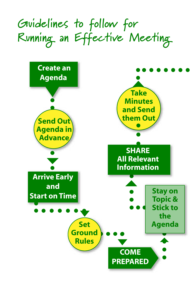# **Guidelines to follow for Running an Effective Meeting**

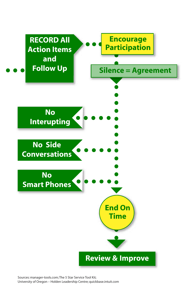

Sources: manager-tools.com;The 5 Star Service Tool Kit; University of Oregon – Holden Leadership Centre; quickbase.intuit.com